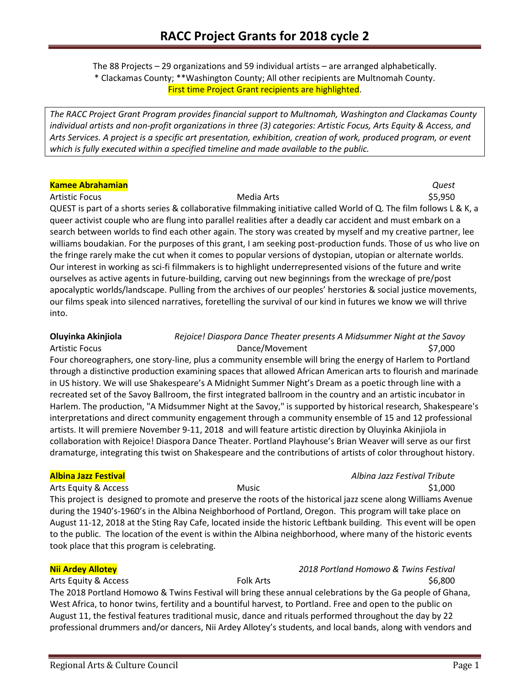The 88 Projects – 29 organizations and 59 individual artists – are arranged alphabetically. \* Clackamas County; \*\*Washington County; All other recipients are Multnomah County. First time Project Grant recipients are highlighted.

*The RACC Project Grant Program provides financial support to Multnomah, Washington and Clackamas County individual artists and non-profit organizations in three (3) categories: Artistic Focus, Arts Equity & Access, and Arts Services. A project is a specific art presentation, exhibition, creation of work, produced program, or event which is fully executed within a specified timeline and made available to the public.* 

### **Kamee Abrahamian** *Quest*

Artistic Focus **Media Arts** Media Arts **1997** S5,950 QUEST is part of a shorts series & collaborative filmmaking initiative called World of Q. The film follows L & K, a queer activist couple who are flung into parallel realities after a deadly car accident and must embark on a search between worlds to find each other again. The story was created by myself and my creative partner, lee williams boudakian. For the purposes of this grant, I am seeking post-production funds. Those of us who live on the fringe rarely make the cut when it comes to popular versions of dystopian, utopian or alternate worlds. Our interest in working as sci-fi filmmakers is to highlight underrepresented visions of the future and write ourselves as active agents in future-building, carving out new beginnings from the wreckage of pre/post apocalyptic worlds/landscape. Pulling from the archives of our peoples' herstories & social justice movements, our films speak into silenced narratives, foretelling the survival of our kind in futures we know we will thrive into.

# **Oluyinka Akinjiola** *Rejoice! Diaspora Dance Theater presents A Midsummer Night at the Savoy* Artistic Focus **Dance/Movement** \$7,000 Four choreographers, one story-line, plus a community ensemble will bring the energy of Harlem to Portland through a distinctive production examining spaces that allowed African American arts to flourish and marinade in US history. We will use Shakespeare's A Midnight Summer Night's Dream as a poetic through line with a recreated set of the Savoy Ballroom, the first integrated ballroom in the country and an artistic incubator in Harlem. The production, "A Midsummer Night at the Savoy," is supported by historical research, Shakespeare's interpretations and direct community engagement through a community ensemble of 15 and 12 professional artists. It will premiere November 9-11, 2018 and will feature artistic direction by Oluyinka Akinjiola in collaboration with Rejoice! Diaspora Dance Theater. Portland Playhouse's Brian Weaver will serve as our first dramaturge, integrating this twist on Shakespeare and the contributions of artists of color throughout history.

## **Albina Jazz Festival** *Albina Jazz Festival Tribute*

Arts Equity & Access **Music Arts Equity & Access** Music Arts Equity & Access Arts Arts Equity & Access Arts Arts A This project is designed to promote and preserve the roots of the historical jazz scene along Williams Avenue during the 1940's-1960's in the Albina Neighborhood of Portland, Oregon. This program will take place on August 11-12, 2018 at the Sting Ray Cafe, located inside the historic Leftbank building. This event will be open to the public. The location of the event is within the Albina neighborhood, where many of the historic events took place that this program is celebrating.

### **Nii Ardey Allotey** *2018 Portland Homowo & Twins Festival*

Arts Equity & Access Folk Arts \$6,800

The 2018 Portland Homowo & Twins Festival will bring these annual celebrations by the Ga people of Ghana, West Africa, to honor twins, fertility and a bountiful harvest, to Portland. Free and open to the public on August 11, the festival features traditional music, dance and rituals performed throughout the day by 22 professional drummers and/or dancers, Nii Ardey Allotey's students, and local bands, along with vendors and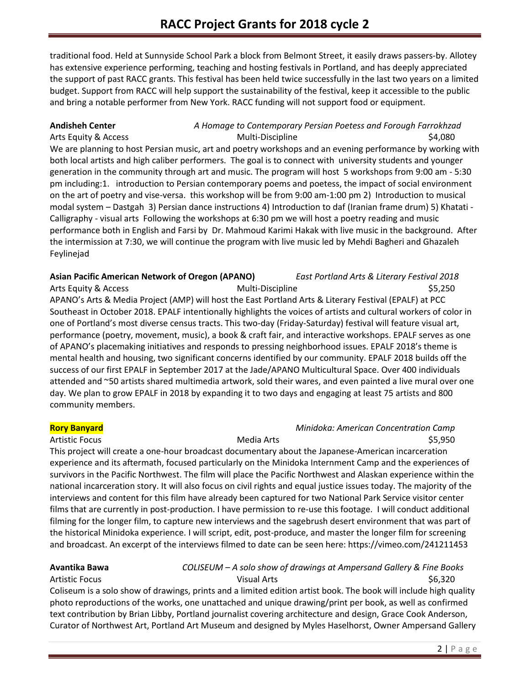traditional food. Held at Sunnyside School Park a block from Belmont Street, it easily draws passers-by. Allotey has extensive experience performing, teaching and hosting festivals in Portland, and has deeply appreciated the support of past RACC grants. This festival has been held twice successfully in the last two years on a limited budget. Support from RACC will help support the sustainability of the festival, keep it accessible to the public and bring a notable performer from New York. RACC funding will not support food or equipment.

### **Andisheh Center** *A Homage to Contemporary Persian Poetess and Forough Farrokhzad* Arts Equity & Access **Multi-Discipline** 64,080

We are planning to host Persian music, art and poetry workshops and an evening performance by working with both local artists and high caliber performers. The goal is to connect with university students and younger generation in the community through art and music. The program will host 5 workshops from 9:00 am - 5:30 pm including:1. introduction to Persian contemporary poems and poetess, the impact of social environment on the art of poetry and vise-versa. this workshop will be from 9:00 am-1:00 pm 2) Introduction to musical modal system – Dastgah 3) Persian dance instructions 4) Introduction to daf (Iranian frame drum) 5) Khatati - Calligraphy - visual arts Following the workshops at 6:30 pm we will host a poetry reading and music performance both in English and Farsi by Dr. Mahmoud Karimi Hakak with live music in the background. After the intermission at 7:30, we will continue the program with live music led by Mehdi Bagheri and Ghazaleh Feylinejad

### **Asian Pacific American Network of Oregon (APANO)** *East Portland Arts & Literary Festival 2018*

Arts Equity & Access Multi-Discipline \$5,250 APANO's Arts & Media Project (AMP) will host the East Portland Arts & Literary Festival (EPALF) at PCC Southeast in October 2018. EPALF intentionally highlights the voices of artists and cultural workers of color in one of Portland's most diverse census tracts. This two-day (Friday-Saturday) festival will feature visual art, performance (poetry, movement, music), a book & craft fair, and interactive workshops. EPALF serves as one of APANO's placemaking initiatives and responds to pressing neighborhood issues. EPALF 2018's theme is mental health and housing, two significant concerns identified by our community. EPALF 2018 builds off the success of our first EPALF in September 2017 at the Jade/APANO Multicultural Space. Over 400 individuals attended and ~50 artists shared multimedia artwork, sold their wares, and even painted a live mural over one day. We plan to grow EPALF in 2018 by expanding it to two days and engaging at least 75 artists and 800 community members.

### **Rory Banyard** *Minidoka: American Concentration Camp*

### Artistic Focus \$5,950

This project will create a one-hour broadcast documentary about the Japanese-American incarceration experience and its aftermath, focused particularly on the Minidoka Internment Camp and the experiences of survivors in the Pacific Northwest. The film will place the Pacific Northwest and Alaskan experience within the national incarceration story. It will also focus on civil rights and equal justice issues today. The majority of the interviews and content for this film have already been captured for two National Park Service visitor center films that are currently in post-production. I have permission to re-use this footage. I will conduct additional filming for the longer film, to capture new interviews and the sagebrush desert environment that was part of the historical Minidoka experience. I will script, edit, post-produce, and master the longer film for screening and broadcast. An excerpt of the interviews filmed to date can be seen here: https://vimeo.com/241211453

**Avantika Bawa** *COLISEUM – A solo show of drawings at Ampersand Gallery & Fine Books* Artistic Focus \$6,320

Coliseum is a solo show of drawings, prints and a limited edition artist book. The book will include high quality photo reproductions of the works, one unattached and unique drawing/print per book, as well as confirmed text contribution by Brian Libby, Portland journalist covering architecture and design, Grace Cook Anderson, Curator of Northwest Art, Portland Art Museum and designed by Myles Haselhorst, Owner Ampersand Gallery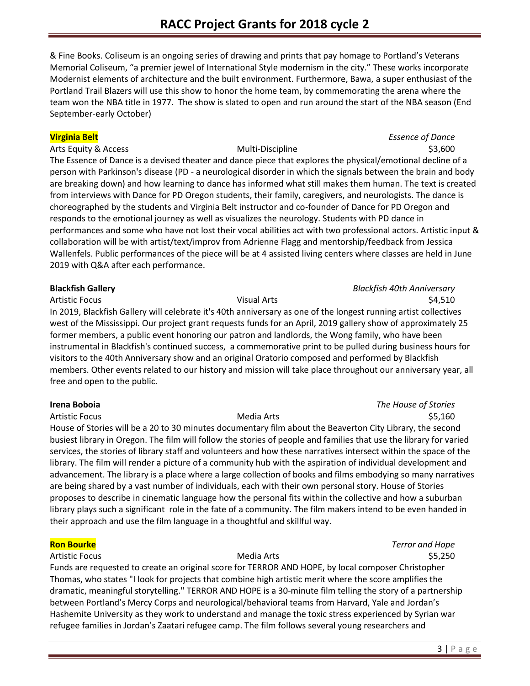& Fine Books. Coliseum is an ongoing series of drawing and prints that pay homage to Portland's Veterans Memorial Coliseum, "a premier jewel of International Style modernism in the city." These works incorporate Modernist elements of architecture and the built environment. Furthermore, Bawa, a super enthusiast of the Portland Trail Blazers will use this show to honor the home team, by commemorating the arena where the team won the NBA title in 1977. The show is slated to open and run around the start of the NBA season (End September-early October)

Arts Equity & Access **Multi-Discipline Multi-Discipline** 53,600

# **Virginia Belt** *Essence of Dance*

The Essence of Dance is a devised theater and dance piece that explores the physical/emotional decline of a person with Parkinson's disease (PD - a neurological disorder in which the signals between the brain and body are breaking down) and how learning to dance has informed what still makes them human. The text is created from interviews with Dance for PD Oregon students, their family, caregivers, and neurologists. The dance is choreographed by the students and Virginia Belt instructor and co-founder of Dance for PD Oregon and responds to the emotional journey as well as visualizes the neurology. Students with PD dance in performances and some who have not lost their vocal abilities act with two professional actors. Artistic input & collaboration will be with artist/text/improv from Adrienne Flagg and mentorship/feedback from Jessica Wallenfels. Public performances of the piece will be at 4 assisted living centers where classes are held in June 2019 with Q&A after each performance.

## **Blackfish Gallery** *Blackfish 40th Anniversary*

Artistic Focus **SA,510** Visual Arts **Visual Arts SA,510** In 2019, Blackfish Gallery will celebrate it's 40th anniversary as one of the longest running artist collectives west of the Mississippi. Our project grant requests funds for an April, 2019 gallery show of approximately 25 former members, a public event honoring our patron and landlords, the Wong family, who have been instrumental in Blackfish's continued success, a commemorative print to be pulled during business hours for visitors to the 40th Anniversary show and an original Oratorio composed and performed by Blackfish members. Other events related to our history and mission will take place throughout our anniversary year, all free and open to the public.

**Irena Boboia** *The House of Stories* Artistic Focus **Media Arts** Media Arts **Artistic Focus** \$5,160

House of Stories will be a 20 to 30 minutes documentary film about the Beaverton City Library, the second busiest library in Oregon. The film will follow the stories of people and families that use the library for varied services, the stories of library staff and volunteers and how these narratives intersect within the space of the library. The film will render a picture of a community hub with the aspiration of individual development and advancement. The library is a place where a large collection of books and films embodying so many narratives are being shared by a vast number of individuals, each with their own personal story. House of Stories proposes to describe in cinematic language how the personal fits within the collective and how a suburban library plays such a significant role in the fate of a community. The film makers intend to be even handed in their approach and use the film language in a thoughtful and skillful way.

**Ron Bourke** *Terror and Hope* Artistic Focus **Media Arts** Media Arts **1996 Artistic Focus** 55,250

Funds are requested to create an original score for TERROR AND HOPE, by local composer Christopher Thomas, who states "I look for projects that combine high artistic merit where the score amplifies the dramatic, meaningful storytelling." TERROR AND HOPE is a 30-minute film telling the story of a partnership between Portland's Mercy Corps and neurological/behavioral teams from Harvard, Yale and Jordan's Hashemite University as they work to understand and manage the toxic stress experienced by Syrian war refugee families in Jordan's Zaatari refugee camp. The film follows several young researchers and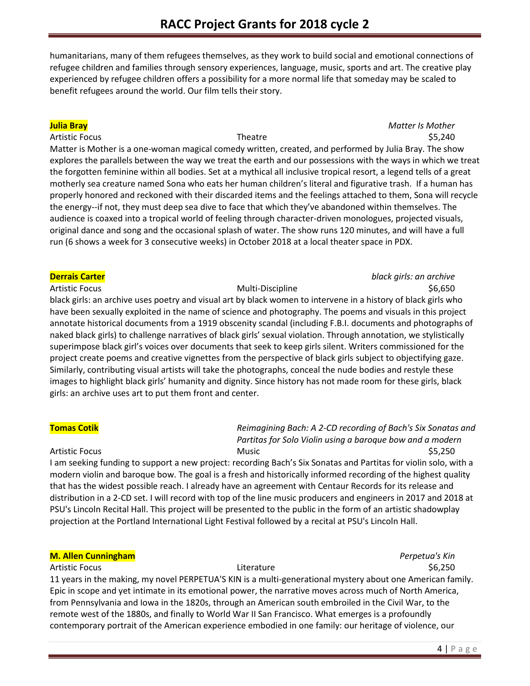humanitarians, many of them refugees themselves, as they work to build social and emotional connections of refugee children and families through sensory experiences, language, music, sports and art. The creative play experienced by refugee children offers a possibility for a more normal life that someday may be scaled to benefit refugees around the world. Our film tells their story.

### **Julia Bray** *Matter Is Mother* Artistic Focus **Theatre Theatre 1996 1997 1997 1998 1997 1998 1998 1998 1998 1999 1999 1999 1999 1999 1999 1999 1999 1999 1999 1999 1999 1999 1999 1999 1999 1999 1999**

Matter is Mother is a one-woman magical comedy written, created, and performed by Julia Bray. The show explores the parallels between the way we treat the earth and our possessions with the ways in which we treat the forgotten feminine within all bodies. Set at a mythical all inclusive tropical resort, a legend tells of a great motherly sea creature named Sona who eats her human children's literal and figurative trash. If a human has properly honored and reckoned with their discarded items and the feelings attached to them, Sona will recycle the energy--if not, they must deep sea dive to face that which they've abandoned within themselves. The audience is coaxed into a tropical world of feeling through character-driven monologues, projected visuals, original dance and song and the occasional splash of water. The show runs 120 minutes, and will have a full run (6 shows a week for 3 consecutive weeks) in October 2018 at a local theater space in PDX.

### **Derrais Carter** *black girls: an archive*

Artistic Focus **Multi-Discipline Multi-Discipline 1996** 1996,650 black girls: an archive uses poetry and visual art by black women to intervene in a history of black girls who have been sexually exploited in the name of science and photography. The poems and visuals in this project annotate historical documents from a 1919 obscenity scandal (including F.B.I. documents and photographs of naked black girls) to challenge narratives of black girls' sexual violation. Through annotation, we stylistically superimpose black girl's voices over documents that seek to keep girls silent. Writers commissioned for the project create poems and creative vignettes from the perspective of black girls subject to objectifying gaze. Similarly, contributing visual artists will take the photographs, conceal the nude bodies and restyle these images to highlight black girls' humanity and dignity. Since history has not made room for these girls, black girls: an archive uses art to put them front and center.

**Tomas Cotik** *Reimagining Bach: A 2-CD recording of Bach's Six Sonatas and Partitas for Solo Violin using a baroque bow and a modern* Artistic Focus \$5,250

I am seeking funding to support a new project: recording Bach's Six Sonatas and Partitas for violin solo, with a modern violin and baroque bow. The goal is a fresh and historically informed recording of the highest quality that has the widest possible reach. I already have an agreement with Centaur Records for its release and distribution in a 2-CD set. I will record with top of the line music producers and engineers in 2017 and 2018 at PSU's Lincoln Recital Hall. This project will be presented to the public in the form of an artistic shadowplay projection at the Portland International Light Festival followed by a recital at PSU's Lincoln Hall.

### **M. Allen Cunningham** *Perpetua's Kin*

# Artistic Focus **Exercise 2.50 Set Exercise 2.50 Set Exercise 2.50** S6,250 Artistic Focus

11 years in the making, my novel PERPETUA'S KIN is a multi-generational mystery about one American family. Epic in scope and yet intimate in its emotional power, the narrative moves across much of North America, from Pennsylvania and Iowa in the 1820s, through an American south embroiled in the Civil War, to the remote west of the 1880s, and finally to World War II San Francisco. What emerges is a profoundly contemporary portrait of the American experience embodied in one family: our heritage of violence, our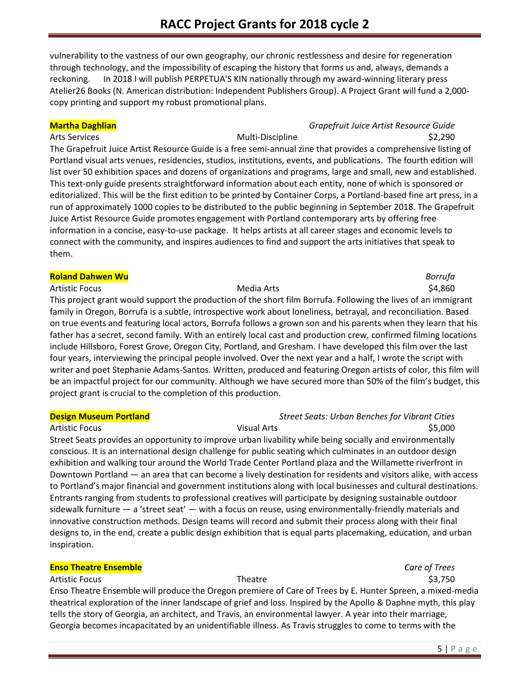vulnerability to the vastness of our own geography, our chronic restlessness and desire for regeneration through technology, and the impossibility of escaping the history that forms us and, always, demands a reckoning. In 2018 I will publish PERPETUA'S KIN nationally through my award-winning literary press Atelier26 Books (N. American distribution: Independent Publishers Group). A Project Grant will fund a 2,000 copy printing and support my robust promotional plans.

### **Martha Daghlian** *Grapefruit Juice Artist Resource Guide*

### Arts Services and the Community of the Multi-Discipline and the S2,290 method of the S2,290 method of the S2,290

The Grapefruit Juice Artist Resource Guide is a free semi-annual zine that provides a comprehensive listing of Portland visual arts venues, residencies, studios, institutions, events, and publications. The fourth edition will list over 50 exhibition spaces and dozens of organizations and programs, large and small, new and established. This text-only guide presents straightforward information about each entity, none of which is sponsored or editorialized. This will be the first edition to be printed by Container Corps, a Portland-based fine art press, in a run of approximately 1000 copies to be distributed to the public beginning in September 2018. The Grapefruit Juice Artist Resource Guide promotes engagement with Portland contemporary arts by offering free information in a concise, easy-to-use package. It helps artists at all career stages and economic levels to connect with the community, and inspires audiences to find and support the arts initiatives that speak to them.

### **Roland Dahwen Wu** *Borrufa*

Artistic Focus \$4,860 This project grant would support the production of the short film Borrufa. Following the lives of an immigrant family in Oregon, Borrufa is a subtle, introspective work about loneliness, betrayal, and reconciliation. Based on true events and featuring local actors, Borrufa follows a grown son and his parents when they learn that his father has a secret, second family. With an entirely local cast and production crew, confirmed filming locations include Hillsboro, Forest Grove, Oregon City, Portland, and Gresham. I have developed this film over the last four years, interviewing the principal people involved. Over the next year and a half, I wrote the script with writer and poet Stephanie Adams-Santos. Written, produced and featuring Oregon artists of color, this film will be an impactful project for our community. Although we have secured more than 50% of the film's budget, this project grant is crucial to the completion of this production.

### **Design Museum Portland** *Street Seats: Urban Benches for Vibrant Cities*

Artistic Focus **Sales Community Community Community** Visual Arts **No. 2000 Community Community Community Community Community Community Community Community Community Community Community Community Community Community Commu** Street Seats provides an opportunity to improve urban livability while being socially and environmentally conscious. It is an international design challenge for public seating which culminates in an outdoor design exhibition and walking tour around the World Trade Center Portland plaza and the Willamette riverfront in Downtown Portland — an area that can become a lively destination for residents and visitors alike, with access to Portland's major financial and government institutions along with local businesses and cultural destinations. Entrants ranging from students to professional creatives will participate by designing sustainable outdoor sidewalk furniture — a 'street seat' — with a focus on reuse, using environmentally-friendly materials and innovative construction methods. Design teams will record and submit their process along with their final designs to, in the end, create a public design exhibition that is equal parts placemaking, education, and urban inspiration.

### **Enso Theatre Ensemble** *Care of Trees*

Artistic Focus **Sales Exercía Exercía Exercía Exercía Exercía Exercía Exercía Exercía Exercía Exercía Exercía E** Enso Theatre Ensemble will produce the Oregon premiere of Care of Trees by E. Hunter Spreen, a mixed-media theatrical exploration of the inner landscape of grief and loss. Inspired by the Apollo & Daphne myth, this play tells the story of Georgia, an architect, and Travis, an environmental lawyer. A year into their marriage, Georgia becomes incapacitated by an unidentifiable illness. As Travis struggles to come to terms with the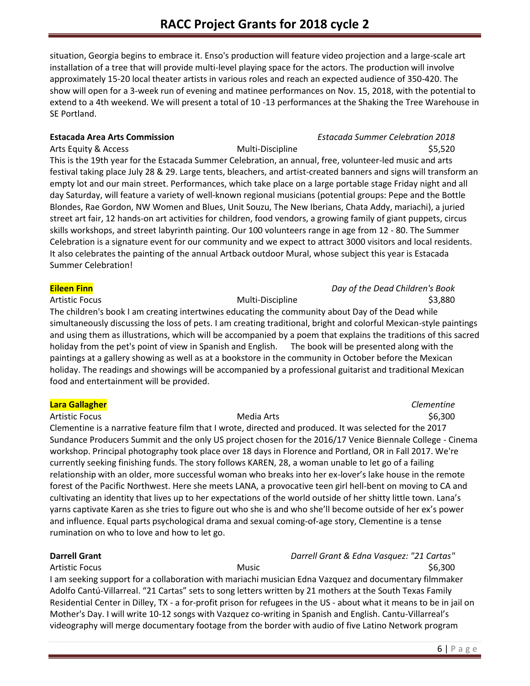situation, Georgia begins to embrace it. Enso's production will feature video projection and a large-scale art installation of a tree that will provide multi-level playing space for the actors. The production will involve approximately 15-20 local theater artists in various roles and reach an expected audience of 350-420. The show will open for a 3-week run of evening and matinee performances on Nov. 15, 2018, with the potential to extend to a 4th weekend. We will present a total of 10 -13 performances at the Shaking the Tree Warehouse in SE Portland.

Arts Equity & Access **Multi-Discipline Multi-Discipline** 55,520 This is the 19th year for the Estacada Summer Celebration, an annual, free, volunteer-led music and arts festival taking place July 28 & 29. Large tents, bleachers, and artist-created banners and signs will transform an empty lot and our main street. Performances, which take place on a large portable stage Friday night and all day Saturday, will feature a variety of well-known regional musicians (potential groups: Pepe and the Bottle Blondes, Rae Gordon, NW Women and Blues, Unit Souzu, The New Iberians, Chata Addy, mariachi), a juried street art fair, 12 hands-on art activities for children, food vendors, a growing family of giant puppets, circus skills workshops, and street labyrinth painting. Our 100 volunteers range in age from 12 - 80. The Summer Celebration is a signature event for our community and we expect to attract 3000 visitors and local residents. It also celebrates the painting of the annual Artback outdoor Mural, whose subject this year is Estacada Summer Celebration!

The children's book I am creating intertwines educating the community about Day of the Dead while simultaneously discussing the loss of pets. I am creating traditional, bright and colorful Mexican-style paintings and using them as illustrations, which will be accompanied by a poem that explains the traditions of this sacred holiday from the pet's point of view in Spanish and English. The book will be presented along with the paintings at a gallery showing as well as at a bookstore in the community in October before the Mexican holiday. The readings and showings will be accompanied by a professional guitarist and traditional Mexican food and entertainment will be provided.

### **Lara Gallagher** *Clementine*

Artistic Focus **Media Arts** Media Arts **Artistic Focus** \$6,300 Clementine is a narrative feature film that I wrote, directed and produced. It was selected for the 2017 Sundance Producers Summit and the only US project chosen for the 2016/17 Venice Biennale College - Cinema workshop. Principal photography took place over 18 days in Florence and Portland, OR in Fall 2017. We're currently seeking finishing funds. The story follows KAREN, 28, a woman unable to let go of a failing relationship with an older, more successful woman who breaks into her ex-lover's lake house in the remote forest of the Pacific Northwest. Here she meets LANA, a provocative teen girl hell-bent on moving to CA and cultivating an identity that lives up to her expectations of the world outside of her shitty little town. Lana's yarns captivate Karen as she tries to figure out who she is and who she'll become outside of her ex's power and influence. Equal parts psychological drama and sexual coming-of-age story, Clementine is a tense

rumination on who to love and how to let go.

**Darrell Grant** *Darrell Grant & Edna Vasquez: "21 Cartas"* Artistic Focus **Music Number of Artistic Focus** S6,300

I am seeking support for a collaboration with mariachi musician Edna Vazquez and documentary filmmaker Adolfo Cantú-Villarreal. "21 Cartas" sets to song letters written by 21 mothers at the South Texas Family Residential Center in Dilley, TX - a for-profit prison for refugees in the US - about what it means to be in jail on Mother's Day. I will write 10-12 songs with Vazquez co-writing in Spanish and English. Cantu-Villarreal's videography will merge documentary footage from the border with audio of five Latino Network program

# **Estacada Area Arts Commission** *Estacada Summer Celebration 2018*

**Eileen Finn** *Day of the Dead Children's Book*

Artistic Focus **Multi-Discipline Artistic Focus** \$3,880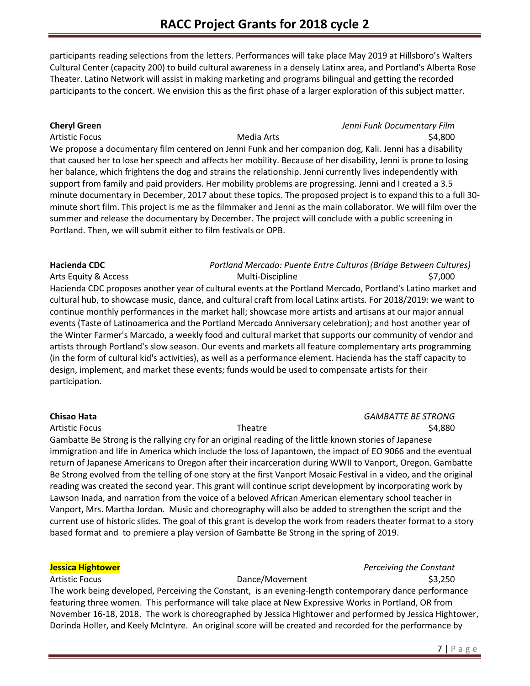participants reading selections from the letters. Performances will take place May 2019 at Hillsboro's Walters Cultural Center (capacity 200) to build cultural awareness in a densely Latinx area, and Portland's Alberta Rose Theater. Latino Network will assist in making marketing and programs bilingual and getting the recorded participants to the concert. We envision this as the first phase of a larger exploration of this subject matter.

### **Cheryl Green** *Jenni Funk Documentary Film*

# Artistic Focus **Media Arts** Media Arts **1996 Artistic Focus** 54,800

We propose a documentary film centered on Jenni Funk and her companion dog, Kali. Jenni has a disability that caused her to lose her speech and affects her mobility. Because of her disability, Jenni is prone to losing her balance, which frightens the dog and strains the relationship. Jenni currently lives independently with support from family and paid providers. Her mobility problems are progressing. Jenni and I created a 3.5 minute documentary in December, 2017 about these topics. The proposed project is to expand this to a full 30 minute short film. This project is me as the filmmaker and Jenni as the main collaborator. We will film over the summer and release the documentary by December. The project will conclude with a public screening in Portland. Then, we will submit either to film festivals or OPB.

### **Hacienda CDC** *Portland Mercado: Puente Entre Culturas (Bridge Between Cultures)* Arts Equity & Access and the Multi-Discipline method of the state of the state of the state of the S7,000

Hacienda CDC proposes another year of cultural events at the Portland Mercado, Portland's Latino market and cultural hub, to showcase music, dance, and cultural craft from local Latinx artists. For 2018/2019: we want to continue monthly performances in the market hall; showcase more artists and artisans at our major annual events (Taste of Latinoamerica and the Portland Mercado Anniversary celebration); and host another year of the Winter Farmer's Marcado, a weekly food and cultural market that supports our community of vendor and artists through Portland's slow season. Our events and markets all feature complementary arts programming (in the form of cultural kid's activities), as well as a performance element. Hacienda has the staff capacity to design, implement, and market these events; funds would be used to compensate artists for their participation.

### **Chisao Hata** *GAMBATTE BE STRONG* Artistic Focus Theatre \$4,880

Gambatte Be Strong is the rallying cry for an original reading of the little known stories of Japanese immigration and life in America which include the loss of Japantown, the impact of EO 9066 and the eventual return of Japanese Americans to Oregon after their incarceration during WWII to Vanport, Oregon. Gambatte Be Strong evolved from the telling of one story at the first Vanport Mosaic Festival in a video, and the original reading was created the second year. This grant will continue script development by incorporating work by Lawson Inada, and narration from the voice of a beloved African American elementary school teacher in Vanport, Mrs. Martha Jordan. Music and choreography will also be added to strengthen the script and the current use of historic slides. The goal of this grant is develop the work from readers theater format to a story based format and to premiere a play version of Gambatte Be Strong in the spring of 2019.

### **Jessica Hightower** *Perceiving the Constant*

### Artistic Focus **Dance/Movement 33,250**

The work being developed, Perceiving the Constant, is an evening-length contemporary dance performance featuring three women. This performance will take place at New Expressive Works in Portland, OR from November 16-18, 2018. The work is choreographed by Jessica Hightower and performed by Jessica Hightower, Dorinda Holler, and Keely McIntyre. An original score will be created and recorded for the performance by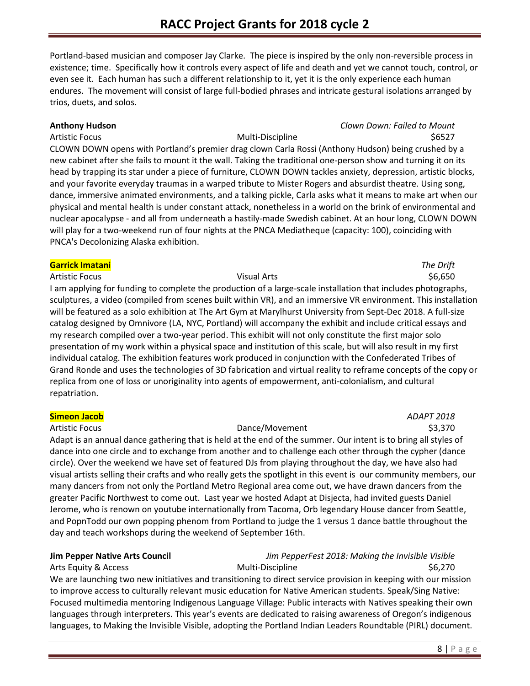Portland-based musician and composer Jay Clarke. The piece is inspired by the only non-reversible process in existence; time. Specifically how it controls every aspect of life and death and yet we cannot touch, control, or even see it. Each human has such a different relationship to it, yet it is the only experience each human endures. The movement will consist of large full-bodied phrases and intricate gestural isolations arranged by trios, duets, and solos.

### **Anthony Hudson** *Clown Down: Failed to Mount*

Artistic Focus Multi-Discipline \$6527

CLOWN DOWN opens with Portland's premier drag clown Carla Rossi (Anthony Hudson) being crushed by a new cabinet after she fails to mount it the wall. Taking the traditional one-person show and turning it on its head by trapping its star under a piece of furniture, CLOWN DOWN tackles anxiety, depression, artistic blocks, and your favorite everyday traumas in a warped tribute to Mister Rogers and absurdist theatre. Using song, dance, immersive animated environments, and a talking pickle, Carla asks what it means to make art when our physical and mental health is under constant attack, nonetheless in a world on the brink of environmental and nuclear apocalypse - and all from underneath a hastily-made Swedish cabinet. At an hour long, CLOWN DOWN will play for a two-weekend run of four nights at the PNCA Mediatheque (capacity: 100), coinciding with PNCA's Decolonizing Alaska exhibition.

### **Garrick Imatani** *The Drift*

Artistic Focus **Exercise Secure 2** Visual Arts **Visual Arts** 56,650 I am applying for funding to complete the production of a large-scale installation that includes photographs, sculptures, a video (compiled from scenes built within VR), and an immersive VR environment. This installation will be featured as a solo exhibition at The Art Gym at Marylhurst University from Sept-Dec 2018. A full-size catalog designed by Omnivore (LA, NYC, Portland) will accompany the exhibit and include critical essays and my research compiled over a two-year period. This exhibit will not only constitute the first major solo presentation of my work within a physical space and institution of this scale, but will also result in my first individual catalog. The exhibition features work produced in conjunction with the Confederated Tribes of Grand Ronde and uses the technologies of 3D fabrication and virtual reality to reframe concepts of the copy or replica from one of loss or unoriginality into agents of empowerment, anti-colonialism, and cultural repatriation.

### **Simeon Jacob** *ADAPT 2018*

Artistic Focus **Dance/Movement** \$3,370 Adapt is an annual dance gathering that is held at the end of the summer. Our intent is to bring all styles of dance into one circle and to exchange from another and to challenge each other through the cypher (dance circle). Over the weekend we have set of featured DJs from playing throughout the day, we have also had visual artists selling their crafts and who really gets the spotlight in this event is our community members, our many dancers from not only the Portland Metro Regional area come out, we have drawn dancers from the greater Pacific Northwest to come out. Last year we hosted Adapt at Disjecta, had invited guests Daniel Jerome, who is renown on youtube internationally from Tacoma, Orb legendary House dancer from Seattle, and PopnTodd our own popping phenom from Portland to judge the 1 versus 1 dance battle throughout the day and teach workshops during the weekend of September 16th.

## **Jim Pepper Native Arts Council** *Jim PepperFest 2018: Making the Invisible Visible*

Arts Equity & Access **Multi-Discipline** 66,270 We are launching two new initiatives and transitioning to direct service provision in keeping with our mission to improve access to culturally relevant music education for Native American students. Speak/Sing Native: Focused multimedia mentoring Indigenous Language Village: Public interacts with Natives speaking their own languages through interpreters. This year's events are dedicated to raising awareness of Oregon's indigenous languages, to Making the Invisible Visible, adopting the Portland Indian Leaders Roundtable (PIRL) document.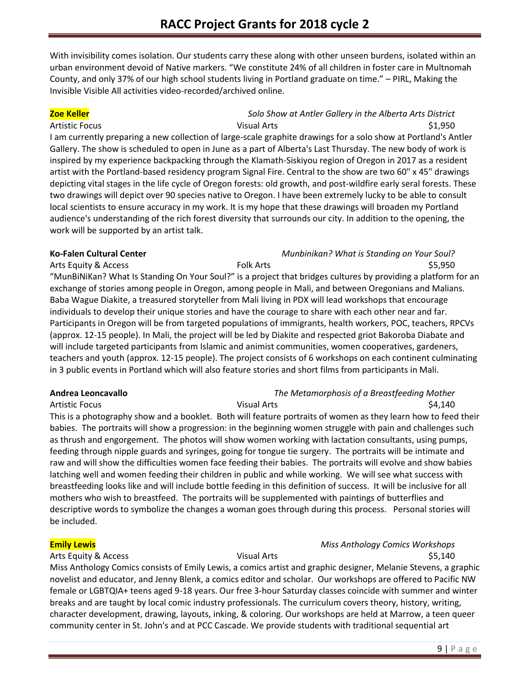With invisibility comes isolation. Our students carry these along with other unseen burdens, isolated within an urban environment devoid of Native markers. "We constitute 24% of all children in foster care in Multnomah County, and only 37% of our high school students living in Portland graduate on time." – PIRL, Making the Invisible Visible All activities video-recorded/archived online.

### **Zoe Keller** *Solo Show at Antler Gallery in the Alberta Arts District* Artistic Focus \$1,950

I am currently preparing a new collection of large-scale graphite drawings for a solo show at Portland's Antler Gallery. The show is scheduled to open in June as a part of Alberta's Last Thursday. The new body of work is inspired by my experience backpacking through the Klamath-Siskiyou region of Oregon in 2017 as a resident artist with the Portland-based residency program Signal Fire. Central to the show are two 60" x 45" drawings depicting vital stages in the life cycle of Oregon forests: old growth, and post-wildfire early seral forests. These two drawings will depict over 90 species native to Oregon. I have been extremely lucky to be able to consult local scientists to ensure accuracy in my work. It is my hope that these drawings will broaden my Portland audience's understanding of the rich forest diversity that surrounds our city. In addition to the opening, the work will be supported by an artist talk.

# **Ko-Falen Cultural Center** *Munbinikan? What is Standing on Your Soul?* Arts Equity & Access Folk Arts \$5,950 "MunBiNiKan? What Is Standing On Your Soul?" is a project that bridges cultures by providing a platform for an exchange of stories among people in Oregon, among people in Mali, and between Oregonians and Malians. Baba Wague Diakite, a treasured storyteller from Mali living in PDX will lead workshops that encourage individuals to develop their unique stories and have the courage to share with each other near and far. Participants in Oregon will be from targeted populations of immigrants, health workers, POC, teachers, RPCVs (approx. 12-15 people). In Mali, the project will be led by Diakite and respected griot Bakoroba Diabate and will include targeted participants from Islamic and animist communities, women cooperatives, gardeners, teachers and youth (approx. 12-15 people). The project consists of 6 workshops on each continent culminating in 3 public events in Portland which will also feature stories and short films from participants in Mali.

### **Andrea Leoncavallo** *The Metamorphosis of a Breastfeeding Mother* Artistic Focus **SA,140 Visual Arts Visual Arts CO**

This is a photography show and a booklet. Both will feature portraits of women as they learn how to feed their babies. The portraits will show a progression: in the beginning women struggle with pain and challenges such as thrush and engorgement. The photos will show women working with lactation consultants, using pumps, feeding through nipple guards and syringes, going for tongue tie surgery. The portraits will be intimate and raw and will show the difficulties women face feeding their babies. The portraits will evolve and show babies latching well and women feeding their children in public and while working. We will see what success with breastfeeding looks like and will include bottle feeding in this definition of success. It will be inclusive for all mothers who wish to breastfeed. The portraits will be supplemented with paintings of butterflies and descriptive words to symbolize the changes a woman goes through during this process. Personal stories will be included.

### **Emily Lewis** *Miss Anthology Comics Workshops*

Arts Equity & Access **Arts** Visual Arts **Constants** \$5,140 Miss Anthology Comics consists of Emily Lewis, a comics artist and graphic designer, Melanie Stevens, a graphic novelist and educator, and Jenny Blenk, a comics editor and scholar. Our workshops are offered to Pacific NW female or LGBTQIA+ teens aged 9-18 years. Our free 3-hour Saturday classes coincide with summer and winter breaks and are taught by local comic industry professionals. The curriculum covers theory, history, writing, character development, drawing, layouts, inking, & coloring. Our workshops are held at Marrow, a teen queer community center in St. John's and at PCC Cascade. We provide students with traditional sequential art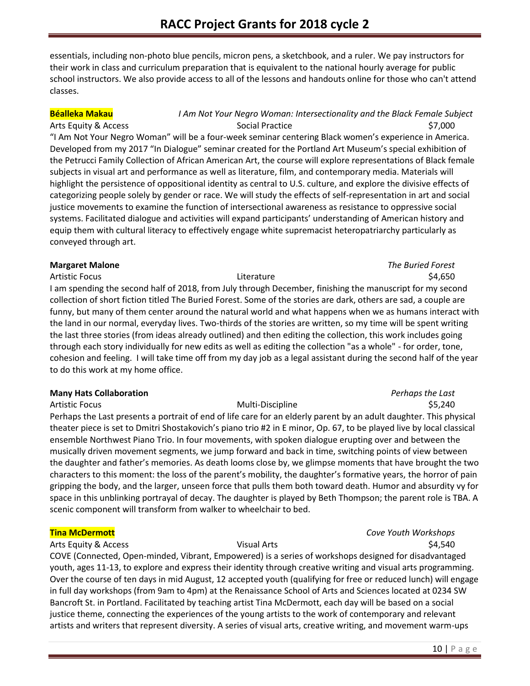essentials, including non-photo blue pencils, micron pens, a sketchbook, and a ruler. We pay instructors for their work in class and curriculum preparation that is equivalent to the national hourly average for public school instructors. We also provide access to all of the lessons and handouts online for those who can't attend classes.

# **Béalleka Makau** *I Am Not Your Negro Woman: Intersectionality and the Black Female Subject* Arts Equity & Access **Social Practice 37,000** Social Practice **\$7,000**

"I Am Not Your Negro Woman" will be a four-week seminar centering Black women's experience in America. Developed from my 2017 "In Dialogue" seminar created for the Portland Art Museum's special exhibition of the Petrucci Family Collection of African American Art, the course will explore representations of Black female subjects in visual art and performance as well as literature, film, and contemporary media. Materials will highlight the persistence of oppositional identity as central to U.S. culture, and explore the divisive effects of categorizing people solely by gender or race. We will study the effects of self-representation in art and social justice movements to examine the function of intersectional awareness as resistance to oppressive social systems. Facilitated dialogue and activities will expand participants' understanding of American history and equip them with cultural literacy to effectively engage white supremacist heteropatriarchy particularly as conveyed through art.

### **Margaret Malone** *The Buried Forest*

Artistic Focus \$4,650 I am spending the second half of 2018, from July through December, finishing the manuscript for my second collection of short fiction titled The Buried Forest. Some of the stories are dark, others are sad, a couple are funny, but many of them center around the natural world and what happens when we as humans interact with the land in our normal, everyday lives. Two-thirds of the stories are written, so my time will be spent writing the last three stories (from ideas already outlined) and then editing the collection, this work includes going through each story individually for new edits as well as editing the collection "as a whole" - for order, tone, cohesion and feeling. I will take time off from my day job as a legal assistant during the second half of the year to do this work at my home office.

### **Many Hats Collaboration** *Perhaps the Last*

Artistic Focus Multi-Discipline \$5,240 Perhaps the Last presents a portrait of end of life care for an elderly parent by an adult daughter. This physical theater piece is set to Dmitri Shostakovich's piano trio #2 in E minor, Op. 67, to be played live by local classical ensemble Northwest Piano Trio. In four movements, with spoken dialogue erupting over and between the musically driven movement segments, we jump forward and back in time, switching points of view between the daughter and father's memories. As death looms close by, we glimpse moments that have brought the two characters to this moment: the loss of the parent's mobility, the daughter's formative years, the horror of pain gripping the body, and the larger, unseen force that pulls them both toward death. Humor and absurdity vy for space in this unblinking portrayal of decay. The daughter is played by Beth Thompson; the parent role is TBA. A scenic component will transform from walker to wheelchair to bed.

### **Tina McDermott** *Cove Youth Workshops*

### Arts Equity & Access The Communication of the Visual Arts Theorem and the S4,540

COVE (Connected, Open-minded, Vibrant, Empowered) is a series of workshops designed for disadvantaged youth, ages 11-13, to explore and express their identity through creative writing and visual arts programming. Over the course of ten days in mid August, 12 accepted youth (qualifying for free or reduced lunch) will engage in full day workshops (from 9am to 4pm) at the Renaissance School of Arts and Sciences located at 0234 SW Bancroft St. in Portland. Facilitated by teaching artist Tina McDermott, each day will be based on a social justice theme, connecting the experiences of the young artists to the work of contemporary and relevant artists and writers that represent diversity. A series of visual arts, creative writing, and movement warm-ups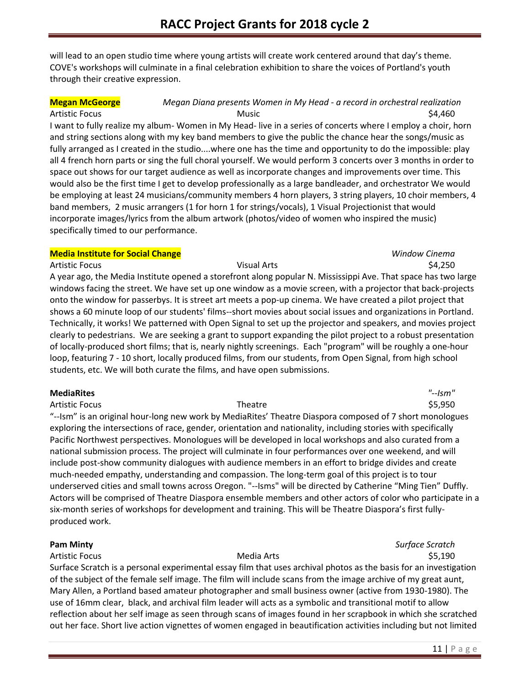will lead to an open studio time where young artists will create work centered around that day's theme. COVE's workshops will culminate in a final celebration exhibition to share the voices of Portland's youth through their creative expression.

### **Megan McGeorge** *Megan Diana presents Women in My Head - a record in orchestral realization*

Artistic Focus **Music Music Contract Artistic Focus** \$4,460 I want to fully realize my album- Women in My Head- live in a series of concerts where I employ a choir, horn and string sections along with my key band members to give the public the chance hear the songs/music as fully arranged as I created in the studio....where one has the time and opportunity to do the impossible: play all 4 french horn parts or sing the full choral yourself. We would perform 3 concerts over 3 months in order to space out shows for our target audience as well as incorporate changes and improvements over time. This would also be the first time I get to develop professionally as a large bandleader, and orchestrator We would be employing at least 24 musicians/community members 4 horn players, 3 string players, 10 choir members, 4 band members, 2 music arrangers (1 for horn 1 for strings/vocals), 1 Visual Projectionist that would incorporate images/lyrics from the album artwork (photos/video of women who inspired the music) specifically timed to our performance.

### **Media Institute for Social Change** *Window Cinema*

Artistic Focus \$4,250 A year ago, the Media Institute opened a storefront along popular N. Mississippi Ave. That space has two large windows facing the street. We have set up one window as a movie screen, with a projector that back-projects onto the window for passerbys. It is street art meets a pop-up cinema. We have created a pilot project that shows a 60 minute loop of our students' films--short movies about social issues and organizations in Portland. Technically, it works! We patterned with Open Signal to set up the projector and speakers, and movies project clearly to pedestrians. We are seeking a grant to support expanding the pilot project to a robust presentation of locally-produced short films; that is, nearly nightly screenings. Each "program" will be roughly a one-hour loop, featuring 7 - 10 short, locally produced films, from our students, from Open Signal, from high school students, etc. We will both curate the films, and have open submissions.

### **MediaRites** *"--Ism"*

Artistic Focus **Theatre Theatre 1996 CONS S5,950 CONS CONS CONS CONS CONS CONS CONS CONS CONS** "--Ism" is an original hour-long new work by MediaRites' Theatre Diaspora composed of 7 short monologues exploring the intersections of race, gender, orientation and nationality, including stories with specifically Pacific Northwest perspectives. Monologues will be developed in local workshops and also curated from a national submission process. The project will culminate in four performances over one weekend, and will include post-show community dialogues with audience members in an effort to bridge divides and create much-needed empathy, understanding and compassion. The long-term goal of this project is to tour underserved cities and small towns across Oregon. "--Isms" will be directed by Catherine "Ming Tien" Duffly. Actors will be comprised of Theatre Diaspora ensemble members and other actors of color who participate in a six-month series of workshops for development and training. This will be Theatre Diaspora's first fullyproduced work.

### Artistic Focus **Media Arts** Media Arts **1908** S5,190

**Pam Minty** *Surface Scratch*

Surface Scratch is a personal experimental essay film that uses archival photos as the basis for an investigation of the subject of the female self image. The film will include scans from the image archive of my great aunt, Mary Allen, a Portland based amateur photographer and small business owner (active from 1930-1980). The use of 16mm clear, black, and archival film leader will acts as a symbolic and transitional motif to allow reflection about her self image as seen through scans of images found in her scrapbook in which she scratched out her face. Short live action vignettes of women engaged in beautification activities including but not limited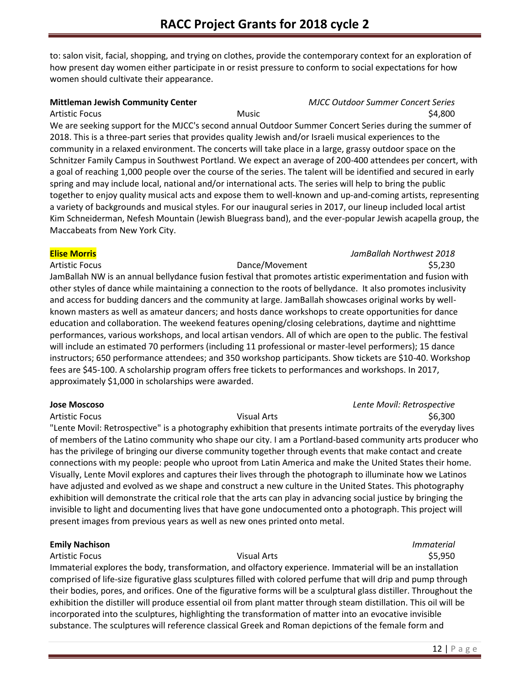to: salon visit, facial, shopping, and trying on clothes, provide the contemporary context for an exploration of how present day women either participate in or resist pressure to conform to social expectations for how women should cultivate their appearance.

### **Mittleman Jewish Community Center** *MJCC Outdoor Summer Concert Series*

Artistic Focus \$4,800 We are seeking support for the MJCC's second annual Outdoor Summer Concert Series during the summer of 2018. This is a three-part series that provides quality Jewish and/or Israeli musical experiences to the community in a relaxed environment. The concerts will take place in a large, grassy outdoor space on the Schnitzer Family Campus in Southwest Portland. We expect an average of 200-400 attendees per concert, with a goal of reaching 1,000 people over the course of the series. The talent will be identified and secured in early spring and may include local, national and/or international acts. The series will help to bring the public together to enjoy quality musical acts and expose them to well-known and up-and-coming artists, representing a variety of backgrounds and musical styles. For our inaugural series in 2017, our lineup included local artist Kim Schneiderman, Nefesh Mountain (Jewish Bluegrass band), and the ever-popular Jewish acapella group, the Maccabeats from New York City.

### **Elise Morris** *JamBallah Northwest 2018*

Artistic Focus **Contract Contract Contract Contract Contract Contract Contract Contract Contract Contract Contract Contract Contract Contract Contract Contract Contract Contract Contract Contract Contract Contract Contract** 

JamBallah NW is an annual bellydance fusion festival that promotes artistic experimentation and fusion with other styles of dance while maintaining a connection to the roots of bellydance. It also promotes inclusivity and access for budding dancers and the community at large. JamBallah showcases original works by wellknown masters as well as amateur dancers; and hosts dance workshops to create opportunities for dance education and collaboration. The weekend features opening/closing celebrations, daytime and nighttime performances, various workshops, and local artisan vendors. All of which are open to the public. The festival will include an estimated 70 performers (including 11 professional or master-level performers); 15 dance instructors; 650 performance attendees; and 350 workshop participants. Show tickets are \$10-40. Workshop fees are \$45-100. A scholarship program offers free tickets to performances and workshops. In 2017, approximately \$1,000 in scholarships were awarded.

### **Jose Moscoso** *Lente Movíl: Retrospective*

Artistic Focus **Example 28** S6,300 Visual Arts **Visual Arts** 56,300 "Lente Movil: Retrospective" is a photography exhibition that presents intimate portraits of the everyday lives of members of the Latino community who shape our city. I am a Portland-based community arts producer who has the privilege of bringing our diverse community together through events that make contact and create connections with my people: people who uproot from Latin America and make the United States their home. Visually, Lente Movil explores and captures their lives through the photograph to illuminate how we Latinos have adjusted and evolved as we shape and construct a new culture in the United States. This photography exhibition will demonstrate the critical role that the arts can play in advancing social justice by bringing the invisible to light and documenting lives that have gone undocumented onto a photograph. This project will present images from previous years as well as new ones printed onto metal.

### **Emily Nachison** *Immaterial*

Artistic Focus **Contract Contract Contract Contract Contract Visual Arts Contract Contract Contract Contract Contract Contract Contract Contract Contract Contract Contract Contract Contract Contract Contract Contract Con** 

Immaterial explores the body, transformation, and olfactory experience. Immaterial will be an installation comprised of life-size figurative glass sculptures filled with colored perfume that will drip and pump through their bodies, pores, and orifices. One of the figurative forms will be a sculptural glass distiller. Throughout the exhibition the distiller will produce essential oil from plant matter through steam distillation. This oil will be incorporated into the sculptures, highlighting the transformation of matter into an evocative invisible substance. The sculptures will reference classical Greek and Roman depictions of the female form and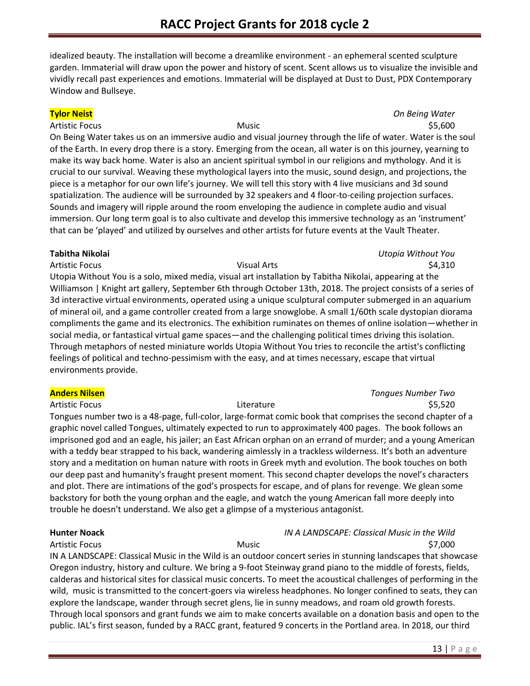idealized beauty. The installation will become a dreamlike environment - an ephemeral scented sculpture garden. Immaterial will draw upon the power and history of scent. Scent allows us to visualize the invisible and vividly recall past experiences and emotions. Immaterial will be displayed at Dust to Dust, PDX Contemporary Window and Bullseye.

### **Tylor Neist** *On Being Water*

Artistic Focus \$5,600 On Being Water takes us on an immersive audio and visual journey through the life of water. Water is the soul of the Earth. In every drop there is a story. Emerging from the ocean, all water is on this journey, yearning to make its way back home. Water is also an ancient spiritual symbol in our religions and mythology. And it is crucial to our survival. Weaving these mythological layers into the music, sound design, and projections, the piece is a metaphor for our own life's journey. We will tell this story with 4 live musicians and 3d sound spatialization. The audience will be surrounded by 32 speakers and 4 floor-to-ceiling projection surfaces. Sounds and imagery will ripple around the room enveloping the audience in complete audio and visual immersion. Our long term goal is to also cultivate and develop this immersive technology as an 'instrument' that can be 'played' and utilized by ourselves and other artists for future events at the Vault Theater.

### **Tabitha Nikolai** *Utopia Without You*

Artistic Focus \$4,310 Utopia Without You is a solo, mixed media, visual art installation by Tabitha Nikolai, appearing at the Williamson | Knight art gallery, September 6th through October 13th, 2018. The project consists of a series of 3d interactive virtual environments, operated using a unique sculptural computer submerged in an aquarium of mineral oil, and a game controller created from a large snowglobe. A small 1/60th scale dystopian diorama compliments the game and its electronics. The exhibition ruminates on themes of online isolation—whether in social media, or fantastical virtual game spaces—and the challenging political times driving this isolation. Through metaphors of nested miniature worlds Utopia Without You tries to reconcile the artist's conflicting feelings of political and techno-pessimism with the easy, and at times necessary, escape that virtual environments provide.

### **Anders Nilsen** *Tongues Number Two*

Artistic Focus **Exercise Set and Set and Artistic Focus** S5,520 Tongues number two is a 48-page, full-color, large-format comic book that comprises the second chapter of a graphic novel called Tongues, ultimately expected to run to approximately 400 pages. The book follows an imprisoned god and an eagle, his jailer; an East African orphan on an errand of murder; and a young American with a teddy bear strapped to his back, wandering aimlessly in a trackless wilderness. It's both an adventure story and a meditation on human nature with roots in Greek myth and evolution. The book touches on both our deep past and humanity's fraught present moment. This second chapter develops the novel's characters and plot. There are intimations of the god's prospects for escape, and of plans for revenge. We glean some backstory for both the young orphan and the eagle, and watch the young American fall more deeply into trouble he doesn't understand. We also get a glimpse of a mysterious antagonist.

# **Hunter Noack** *IN A LANDSCAPE: Classical Music in the Wild*

Artistic Focus Music \$7,000 IN A LANDSCAPE: Classical Music in the Wild is an outdoor concert series in stunning landscapes that showcase Oregon industry, history and culture. We bring a 9-foot Steinway grand piano to the middle of forests, fields, calderas and historical sites for classical music concerts. To meet the acoustical challenges of performing in the wild, music is transmitted to the concert-goers via wireless headphones. No longer confined to seats, they can explore the landscape, wander through secret glens, lie in sunny meadows, and roam old growth forests. Through local sponsors and grant funds we aim to make concerts available on a donation basis and open to the public. IAL's first season, funded by a RACC grant, featured 9 concerts in the Portland area. In 2018, our third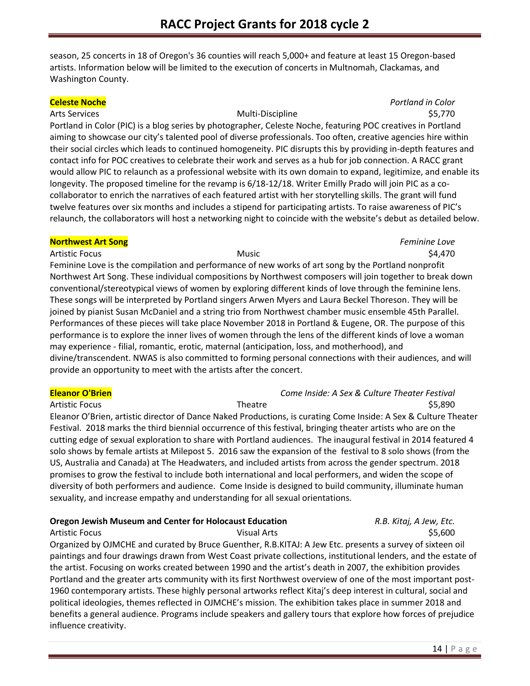season, 25 concerts in 18 of Oregon's 36 counties will reach 5,000+ and feature at least 15 Oregon-based artists. Information below will be limited to the execution of concerts in Multnomah, Clackamas, and Washington County.

### Arts Services and the Services of the Multi-Discipline and the Services of the Services of the Services of the Multi-Discipline and the Services of Services of the Services of the Multi-Discipline and the Services of the S

**Celeste Noche** *Portland in Color*

Portland in Color (PIC) is a blog series by photographer, Celeste Noche, featuring POC creatives in Portland aiming to showcase our city's talented pool of diverse professionals. Too often, creative agencies hire within their social circles which leads to continued homogeneity. PIC disrupts this by providing in-depth features and contact info for POC creatives to celebrate their work and serves as a hub for job connection. A RACC grant would allow PIC to relaunch as a professional website with its own domain to expand, legitimize, and enable its longevity. The proposed timeline for the revamp is 6/18-12/18. Writer Emilly Prado will join PIC as a cocollaborator to enrich the narratives of each featured artist with her storytelling skills. The grant will fund twelve features over six months and includes a stipend for participating artists. To raise awareness of PIC's relaunch, the collaborators will host a networking night to coincide with the website's debut as detailed below.

### **Northwest Art Song** *Feminine Love*

Artistic Focus **Music Artistic Focus** S4,470

Feminine Love is the compilation and performance of new works of art song by the Portland nonprofit Northwest Art Song. These individual compositions by Northwest composers will join together to break down conventional/stereotypical views of women by exploring different kinds of love through the feminine lens. These songs will be interpreted by Portland singers Arwen Myers and Laura Beckel Thoreson. They will be joined by pianist Susan McDaniel and a string trio from Northwest chamber music ensemble 45th Parallel. Performances of these pieces will take place November 2018 in Portland & Eugene, OR. The purpose of this performance is to explore the inner lives of women through the lens of the different kinds of love a woman may experience - filial, romantic, erotic, maternal (anticipation, loss, and motherhood), and divine/transcendent. NWAS is also committed to forming personal connections with their audiences, and will provide an opportunity to meet with the artists after the concert.

### **Eleanor O'Brien** *Come Inside: A Sex & Culture Theater Festival*

### Artistic Focus **Theatre Theatre CONS** SE,890 Eleanor O'Brien, artistic director of Dance Naked Productions, is curating Come Inside: A Sex & Culture Theater Festival. 2018 marks the third biennial occurrence of this festival, bringing theater artists who are on the cutting edge of sexual exploration to share with Portland audiences. The inaugural festival in 2014 featured 4 solo shows by female artists at Milepost 5. 2016 saw the expansion of the festival to 8 solo shows (from the US, Australia and Canada) at The Headwaters, and included artists from across the gender spectrum. 2018 promises to grow the festival to include both international and local performers, and widen the scope of diversity of both performers and audience. Come Inside is designed to build community, illuminate human sexuality, and increase empathy and understanding for all sexual orientations.

### **Oregon Jewish Museum and Center for Holocaust Education** *R.B. Kitaj, A Jew, Etc.*

Artistic Focus **Contract Contract Contract Contract Contract Visual Arts Contract Contract Contract Contract Contract Contract Contract Contract Contract Contract Contract Contract Contract Contract Contract Contract Con** Organized by OJMCHE and curated by Bruce Guenther, R.B.KITAJ: A Jew Etc. presents a survey of sixteen oil paintings and four drawings drawn from West Coast private collections, institutional lenders, and the estate of the artist. Focusing on works created between 1990 and the artist's death in 2007, the exhibition provides Portland and the greater arts community with its first Northwest overview of one of the most important post-1960 contemporary artists. These highly personal artworks reflect Kitaj's deep interest in cultural, social and political ideologies, themes reflected in OJMCHE's mission. The exhibition takes place in summer 2018 and benefits a general audience. Programs include speakers and gallery tours that explore how forces of prejudice influence creativity.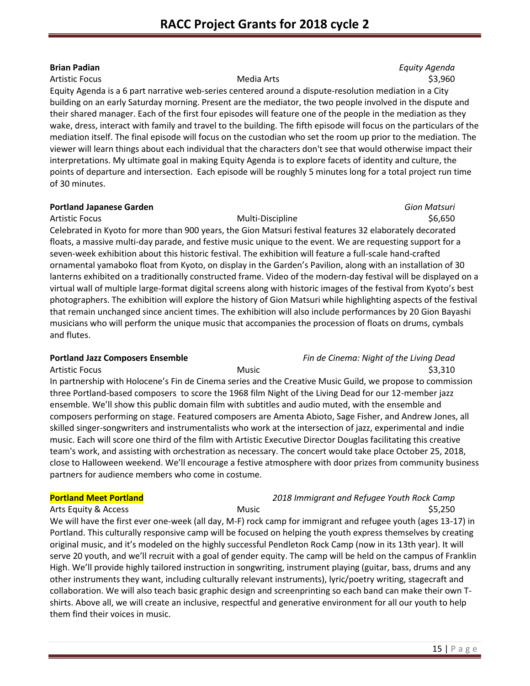**Brian Padian** *Equity Agenda* Artistic Focus **Media Arts** Media Arts **1996 S3,960** 

Equity Agenda is a 6 part narrative web-series centered around a dispute-resolution mediation in a City building on an early Saturday morning. Present are the mediator, the two people involved in the dispute and their shared manager. Each of the first four episodes will feature one of the people in the mediation as they wake, dress, interact with family and travel to the building. The fifth episode will focus on the particulars of the mediation itself. The final episode will focus on the custodian who set the room up prior to the mediation. The viewer will learn things about each individual that the characters don't see that would otherwise impact their interpretations. My ultimate goal in making Equity Agenda is to explore facets of identity and culture, the points of departure and intersection. Each episode will be roughly 5 minutes long for a total project run time of 30 minutes.

### **Portland Japanese Garden** *Gion Matsuri*

Artistic Focus Multi-Discipline \$6,650 Celebrated in Kyoto for more than 900 years, the Gion Matsuri festival features 32 elaborately decorated floats, a massive multi-day parade, and festive music unique to the event. We are requesting support for a seven-week exhibition about this historic festival. The exhibition will feature a full-scale hand-crafted ornamental yamaboko float from Kyoto, on display in the Garden's Pavilion, along with an installation of 30 lanterns exhibited on a traditionally constructed frame. Video of the modern-day festival will be displayed on a virtual wall of multiple large-format digital screens along with historic images of the festival from Kyoto's best photographers. The exhibition will explore the history of Gion Matsuri while highlighting aspects of the festival that remain unchanged since ancient times. The exhibition will also include performances by 20 Gion Bayashi musicians who will perform the unique music that accompanies the procession of floats on drums, cymbals and flutes.

## **Portland Jazz Composers Ensemble** *Fin de Cinema: Night of the Living Dead*

Artistic Focus \$3,310 In partnership with Holocene's Fin de Cinema series and the Creative Music Guild, we propose to commission three Portland-based composers to score the 1968 film Night of the Living Dead for our 12-member jazz ensemble. We'll show this public domain film with subtitles and audio muted, with the ensemble and composers performing on stage. Featured composers are Amenta Abioto, Sage Fisher, and Andrew Jones, all skilled singer-songwriters and instrumentalists who work at the intersection of jazz, experimental and indie music. Each will score one third of the film with Artistic Executive Director Douglas facilitating this creative team's work, and assisting with orchestration as necessary. The concert would take place October 25, 2018, close to Halloween weekend. We'll encourage a festive atmosphere with door prizes from community business partners for audience members who come in costume.

## **Portland Meet Portland** *2018 Immigrant and Refugee Youth Rock Camp* Arts Equity & Access **Music Number of Access** Music Arts Equity & Access Access Access Arts Access Access Access A

We will have the first ever one-week (all day, M-F) rock camp for immigrant and refugee youth (ages 13-17) in Portland. This culturally responsive camp will be focused on helping the youth express themselves by creating original music, and it's modeled on the highly successful Pendleton Rock Camp (now in its 13th year). It will serve 20 youth, and we'll recruit with a goal of gender equity. The camp will be held on the campus of Franklin High. We'll provide highly tailored instruction in songwriting, instrument playing (guitar, bass, drums and any other instruments they want, including culturally relevant instruments), lyric/poetry writing, stagecraft and collaboration. We will also teach basic graphic design and screenprinting so each band can make their own Tshirts. Above all, we will create an inclusive, respectful and generative environment for all our youth to help them find their voices in music.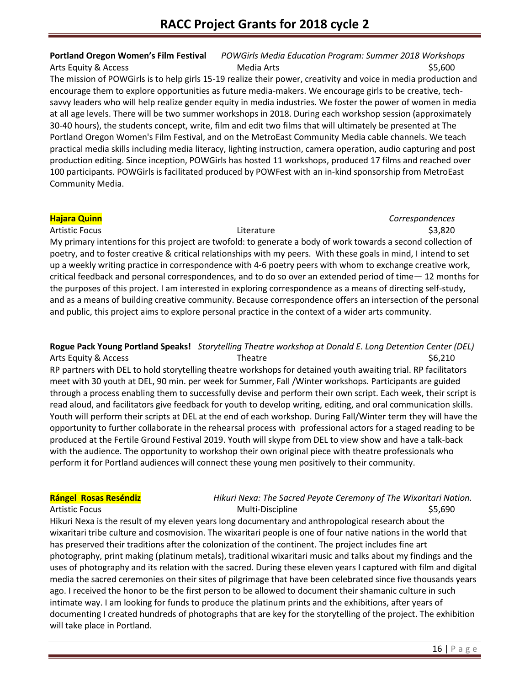**Portland Oregon Women's Film Festival** *POWGirls Media Education Program: Summer 2018 Workshops* Arts Equity & Access **Media Arts** Media Arts **Media Arts** \$5,600

The mission of POWGirls is to help girls 15-19 realize their power, creativity and voice in media production and encourage them to explore opportunities as future media-makers. We encourage girls to be creative, techsavvy leaders who will help realize gender equity in media industries. We foster the power of women in media at all age levels. There will be two summer workshops in 2018. During each workshop session (approximately 30-40 hours), the students concept, write, film and edit two films that will ultimately be presented at The Portland Oregon Women's Film Festival, and on the MetroEast Community Media cable channels. We teach practical media skills including media literacy, lighting instruction, camera operation, audio capturing and post production editing. Since inception, POWGirls has hosted 11 workshops, produced 17 films and reached over 100 participants. POWGirls is facilitated produced by POWFest with an in-kind sponsorship from MetroEast Community Media.

# **Hajara Quinn** *Correspondences*

Artistic Focus \$3,820 My primary intentions for this project are twofold: to generate a body of work towards a second collection of poetry, and to foster creative & critical relationships with my peers. With these goals in mind, I intend to set up a weekly writing practice in correspondence with 4-6 poetry peers with whom to exchange creative work, critical feedback and personal correspondences, and to do so over an extended period of time— 12 months for the purposes of this project. I am interested in exploring correspondence as a means of directing self-study, and as a means of building creative community. Because correspondence offers an intersection of the personal and public, this project aims to explore personal practice in the context of a wider arts community.

**Rogue Pack Young Portland Speaks!** *Storytelling Theatre workshop at Donald E. Long Detention Center (DEL)* Arts Equity & Access **Theatre Theatre 1996** S6,210 RP partners with DEL to hold storytelling theatre workshops for detained youth awaiting trial. RP facilitators meet with 30 youth at DEL, 90 min. per week for Summer, Fall /Winter workshops. Participants are guided through a process enabling them to successfully devise and perform their own script. Each week, their script is read aloud, and facilitators give feedback for youth to develop writing, editing, and oral communication skills. Youth will perform their scripts at DEL at the end of each workshop. During Fall/Winter term they will have the opportunity to further collaborate in the rehearsal process with professional actors for a staged reading to be produced at the Fertile Ground Festival 2019. Youth will skype from DEL to view show and have a talk-back with the audience. The opportunity to workshop their own original piece with theatre professionals who perform it for Portland audiences will connect these young men positively to their community.

### **Rángel Rosas Reséndiz** *Hikuri Nexa: The Sacred Peyote Ceremony of The Wixaritari Nation.* Artistic Focus Multi-Discipline \$5,690

Hikuri Nexa is the result of my eleven years long documentary and anthropological research about the wixaritari tribe culture and cosmovision. The wixaritari people is one of four native nations in the world that has preserved their traditions after the colonization of the continent. The project includes fine art photography, print making (platinum metals), traditional wixaritari music and talks about my findings and the uses of photography and its relation with the sacred. During these eleven years I captured with film and digital media the sacred ceremonies on their sites of pilgrimage that have been celebrated since five thousands years ago. I received the honor to be the first person to be allowed to document their shamanic culture in such intimate way. I am looking for funds to produce the platinum prints and the exhibitions, after years of documenting I created hundreds of photographs that are key for the storytelling of the project. The exhibition will take place in Portland.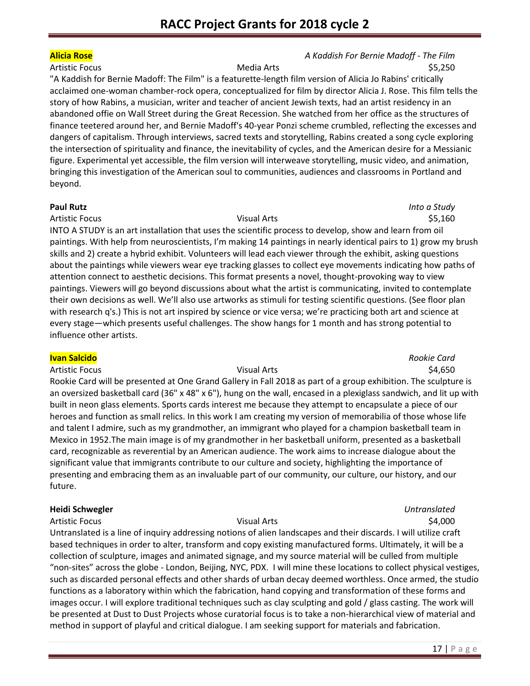### **Alicia Rose** *A Kaddish For Bernie Madoff - The Film* Artistic Focus **Media Arts** Media Arts **Media Arts** 55,250

"A Kaddish for Bernie Madoff: The Film" is a featurette-length film version of Alicia Jo Rabins' critically acclaimed one-woman chamber-rock opera, conceptualized for film by director Alicia J. Rose. This film tells the story of how Rabins, a musician, writer and teacher of ancient Jewish texts, had an artist residency in an abandoned offie on Wall Street during the Great Recession. She watched from her office as the structures of finance teetered around her, and Bernie Madoff's 40-year Ponzi scheme crumbled, reflecting the excesses and dangers of capitalism. Through interviews, sacred texts and storytelling, Rabins created a song cycle exploring the intersection of spirituality and finance, the inevitability of cycles, and the American desire for a Messianic figure. Experimental yet accessible, the film version will interweave storytelling, music video, and animation, bringing this investigation of the American soul to communities, audiences and classrooms in Portland and beyond.

### **Paul Rutz** *Into a Study*

### Artistic Focus **Contracts** Contracts **Contracts** Visual Arts **Contracts** Contracts **4.55,160**

INTO A STUDY is an art installation that uses the scientific process to develop, show and learn from oil paintings. With help from neuroscientists, I'm making 14 paintings in nearly identical pairs to 1) grow my brush skills and 2) create a hybrid exhibit. Volunteers will lead each viewer through the exhibit, asking questions about the paintings while viewers wear eye tracking glasses to collect eye movements indicating how paths of attention connect to aesthetic decisions. This format presents a novel, thought-provoking way to view paintings. Viewers will go beyond discussions about what the artist is communicating, invited to contemplate their own decisions as well. We'll also use artworks as stimuli for testing scientific questions. (See floor plan with research q's.) This is not art inspired by science or vice versa; we're practicing both art and science at every stage—which presents useful challenges. The show hangs for 1 month and has strong potential to influence other artists.

### **Ivan Salcido** *Rookie Card*

Artistic Focus **Contract Artistic Focus** Contract Artis Visual Arts **54,650** 

Rookie Card will be presented at One Grand Gallery in Fall 2018 as part of a group exhibition. The sculpture is an oversized basketball card (36" x 48" x 6"), hung on the wall, encased in a plexiglass sandwich, and lit up with built in neon glass elements. Sports cards interest me because they attempt to encapsulate a piece of our heroes and function as small relics. In this work I am creating my version of memorabilia of those whose life and talent I admire, such as my grandmother, an immigrant who played for a champion basketball team in Mexico in 1952.The main image is of my grandmother in her basketball uniform, presented as a basketball card, recognizable as reverential by an American audience. The work aims to increase dialogue about the significant value that immigrants contribute to our culture and society, highlighting the importance of presenting and embracing them as an invaluable part of our community, our culture, our history, and our future.

## **Heidi Schwegler** *Untranslated*

### Artistic Focus **SA,000 Visual Arts Visual Arts SA,000**

Untranslated is a line of inquiry addressing notions of alien landscapes and their discards. I will utilize craft based techniques in order to alter, transform and copy existing manufactured forms. Ultimately, it will be a collection of sculpture, images and animated signage, and my source material will be culled from multiple "non-sites" across the globe - London, Beijing, NYC, PDX. I will mine these locations to collect physical vestiges, such as discarded personal effects and other shards of urban decay deemed worthless. Once armed, the studio functions as a laboratory within which the fabrication, hand copying and transformation of these forms and images occur. I will explore traditional techniques such as clay sculpting and gold / glass casting. The work will be presented at Dust to Dust Projects whose curatorial focus is to take a non-hierarchical view of material and method in support of playful and critical dialogue. I am seeking support for materials and fabrication.

## 17 | P a g e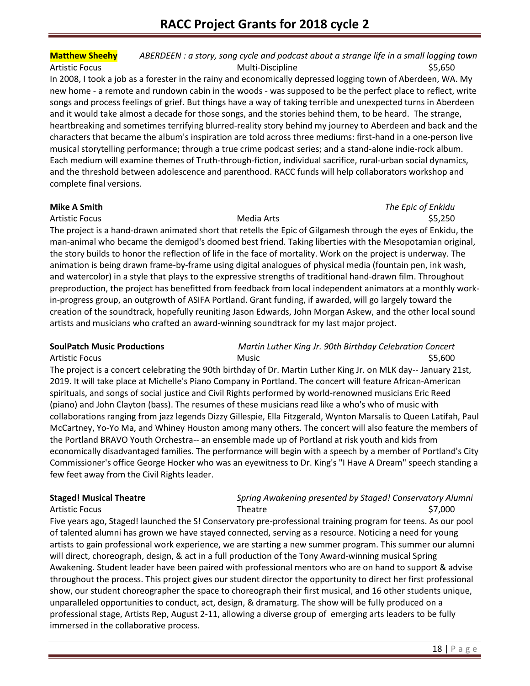# **Matthew Sheehy** *ABERDEEN : a story, song cycle and podcast about a strange life in a small logging town* Artistic Focus Multi-Discipline \$5,650

In 2008, I took a job as a forester in the rainy and economically depressed logging town of Aberdeen, WA. My new home - a remote and rundown cabin in the woods - was supposed to be the perfect place to reflect, write songs and process feelings of grief. But things have a way of taking terrible and unexpected turns in Aberdeen and it would take almost a decade for those songs, and the stories behind them, to be heard. The strange, heartbreaking and sometimes terrifying blurred-reality story behind my journey to Aberdeen and back and the characters that became the album's inspiration are told across three mediums: first-hand in a one-person live musical storytelling performance; through a true crime podcast series; and a stand-alone indie-rock album. Each medium will examine themes of Truth-through-fiction, individual sacrifice, rural-urban social dynamics, and the threshold between adolescence and parenthood. RACC funds will help collaborators workshop and complete final versions.

**Mike A Smith** *The Epic of Enkidu* Artistic Focus **Media Arts** Media Arts **1996 Media Arts** 1997 **1997 1998 1998 1998 1998 1998 1999 1999 1999 1999 1999 1999 1999 1999 1999 1999 1999 1999 1999 1999 1999 1999 199** 

The project is a hand-drawn animated short that retells the Epic of Gilgamesh through the eyes of Enkidu, the man-animal who became the demigod's doomed best friend. Taking liberties with the Mesopotamian original, the story builds to honor the reflection of life in the face of mortality. Work on the project is underway. The animation is being drawn frame-by-frame using digital analogues of physical media (fountain pen, ink wash, and watercolor) in a style that plays to the expressive strengths of traditional hand-drawn film. Throughout preproduction, the project has benefitted from feedback from local independent animators at a monthly workin-progress group, an outgrowth of ASIFA Portland. Grant funding, if awarded, will go largely toward the creation of the soundtrack, hopefully reuniting Jason Edwards, John Morgan Askew, and the other local sound artists and musicians who crafted an award-winning soundtrack for my last major project.

### **SoulPatch Music Productions** *Martin Luther King Jr. 90th Birthday Celebration Concert*

Artistic Focus **Music Music Contract Artistic Focus** \$5,600 S The project is a concert celebrating the 90th birthday of Dr. Martin Luther King Jr. on MLK day-- January 21st, 2019. It will take place at Michelle's Piano Company in Portland. The concert will feature African-American spirituals, and songs of social justice and Civil Rights performed by world-renowned musicians Eric Reed (piano) and John Clayton (bass). The resumes of these musicians read like a who's who of music with collaborations ranging from jazz legends Dizzy Gillespie, Ella Fitzgerald, Wynton Marsalis to Queen Latifah, Paul McCartney, Yo-Yo Ma, and Whiney Houston among many others. The concert will also feature the members of the Portland BRAVO Youth Orchestra-- an ensemble made up of Portland at risk youth and kids from economically disadvantaged families. The performance will begin with a speech by a member of Portland's City Commissioner's office George Hocker who was an eyewitness to Dr. King's "I Have A Dream" speech standing a few feet away from the Civil Rights leader.

### **Staged! Musical Theatre** *Spring Awakening presented by Staged! Conservatory Alumni* Artistic Focus **Theatre** Theatre **1996** S7,000

Five years ago, Staged! launched the S! Conservatory pre-professional training program for teens. As our pool of talented alumni has grown we have stayed connected, serving as a resource. Noticing a need for young artists to gain professional work experience, we are starting a new summer program. This summer our alumni will direct, choreograph, design, & act in a full production of the Tony Award-winning musical Spring Awakening. Student leader have been paired with professional mentors who are on hand to support & advise throughout the process. This project gives our student director the opportunity to direct her first professional show, our student choreographer the space to choreograph their first musical, and 16 other students unique, unparalleled opportunities to conduct, act, design, & dramaturg. The show will be fully produced on a professional stage, Artists Rep, August 2-11, allowing a diverse group of emerging arts leaders to be fully immersed in the collaborative process.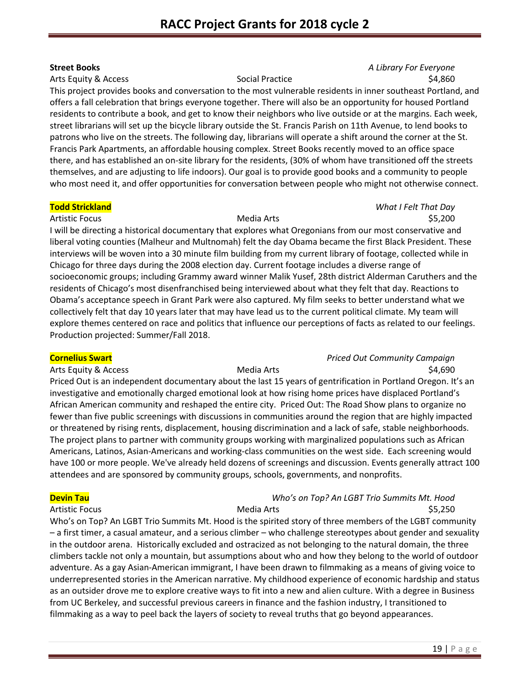### **Street Books** *A Library For Everyone* Arts Equity & Access **Social Practice 34,860** Social Practice **\$4,860**

This project provides books and conversation to the most vulnerable residents in inner southeast Portland, and offers a fall celebration that brings everyone together. There will also be an opportunity for housed Portland residents to contribute a book, and get to know their neighbors who live outside or at the margins. Each week, street librarians will set up the bicycle library outside the St. Francis Parish on 11th Avenue, to lend books to patrons who live on the streets. The following day, librarians will operate a shift around the corner at the St. Francis Park Apartments, an affordable housing complex. Street Books recently moved to an office space there, and has established an on-site library for the residents, (30% of whom have transitioned off the streets themselves, and are adjusting to life indoors). Our goal is to provide good books and a community to people who most need it, and offer opportunities for conversation between people who might not otherwise connect.

### **Todd Strickland** *What I Felt That Day*

# Artistic Focus **Media Arts** Media Arts **1996 S5,200**

I will be directing a historical documentary that explores what Oregonians from our most conservative and liberal voting counties (Malheur and Multnomah) felt the day Obama became the first Black President. These interviews will be woven into a 30 minute film building from my current library of footage, collected while in Chicago for three days during the 2008 election day. Current footage includes a diverse range of socioeconomic groups; including Grammy award winner Malik Yusef, 28th district Alderman Caruthers and the residents of Chicago's most disenfranchised being interviewed about what they felt that day. Reactions to Obama's acceptance speech in Grant Park were also captured. My film seeks to better understand what we collectively felt that day 10 years later that may have lead us to the current political climate. My team will explore themes centered on race and politics that influence our perceptions of facts as related to our feelings. Production projected: Summer/Fall 2018.

### **Cornelius Swart** *Priced Out Community Campaign* Arts Equity & Access **Media Arts** Media Arts **Media Arts** \$4,690

Priced Out is an independent documentary about the last 15 years of gentrification in Portland Oregon. It's an investigative and emotionally charged emotional look at how rising home prices have displaced Portland's African American community and reshaped the entire city. Priced Out: The Road Show plans to organize no fewer than five public screenings with discussions in communities around the region that are highly impacted or threatened by rising rents, displacement, housing discrimination and a lack of safe, stable neighborhoods. The project plans to partner with community groups working with marginalized populations such as African Americans, Latinos, Asian-Americans and working-class communities on the west side. Each screening would have 100 or more people. We've already held dozens of screenings and discussion. Events generally attract 100 attendees and are sponsored by community groups, schools, governments, and nonprofits.

### **Devin Tau** *Who's on Top? An LGBT Trio Summits Mt. Hood* Artistic Focus **Media Arts** Media Arts **Media Arts** 55,250

Who's on Top? An LGBT Trio Summits Mt. Hood is the spirited story of three members of the LGBT community – a first timer, a casual amateur, and a serious climber – who challenge stereotypes about gender and sexuality in the outdoor arena. Historically excluded and ostracized as not belonging to the natural domain, the three climbers tackle not only a mountain, but assumptions about who and how they belong to the world of outdoor adventure. As a gay Asian-American immigrant, I have been drawn to filmmaking as a means of giving voice to underrepresented stories in the American narrative. My childhood experience of economic hardship and status as an outsider drove me to explore creative ways to fit into a new and alien culture. With a degree in Business from UC Berkeley, and successful previous careers in finance and the fashion industry, I transitioned to filmmaking as a way to peel back the layers of society to reveal truths that go beyond appearances.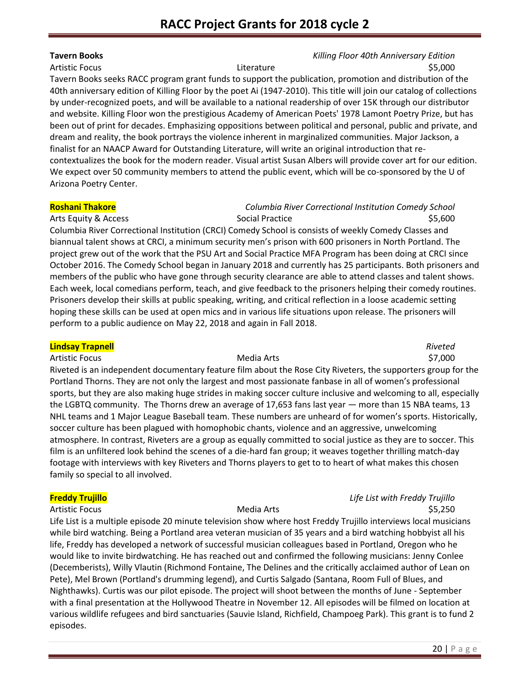### **Tavern Books** *Killing Floor 40th Anniversary Edition*

Artistic Focus **Exercise 2** S5,000 Literature **1996** Literature **1996** S5,000

Tavern Books seeks RACC program grant funds to support the publication, promotion and distribution of the 40th anniversary edition of Killing Floor by the poet Ai (1947-2010). This title will join our catalog of collections by under-recognized poets, and will be available to a national readership of over 15K through our distributor and website. Killing Floor won the prestigious Academy of American Poets' 1978 Lamont Poetry Prize, but has been out of print for decades. Emphasizing oppositions between political and personal, public and private, and dream and reality, the book portrays the violence inherent in marginalized communities. Major Jackson, a finalist for an NAACP Award for Outstanding Literature, will write an original introduction that recontextualizes the book for the modern reader. Visual artist Susan Albers will provide cover art for our edition. We expect over 50 community members to attend the public event, which will be co-sponsored by the U of Arizona Poetry Center.

### **Roshani Thakore** *Columbia River Correctional Institution Comedy School* Arts Equity & Access **Social Practice** Social Practice **55,600**

Columbia River Correctional Institution (CRCI) Comedy School is consists of weekly Comedy Classes and biannual talent shows at CRCI, a minimum security men's prison with 600 prisoners in North Portland. The project grew out of the work that the PSU Art and Social Practice MFA Program has been doing at CRCI since October 2016. The Comedy School began in January 2018 and currently has 25 participants. Both prisoners and members of the public who have gone through security clearance are able to attend classes and talent shows. Each week, local comedians perform, teach, and give feedback to the prisoners helping their comedy routines. Prisoners develop their skills at public speaking, writing, and critical reflection in a loose academic setting hoping these skills can be used at open mics and in various life situations upon release. The prisoners will perform to a public audience on May 22, 2018 and again in Fall 2018.

## **Lindsay Trapnell** *Riveted* Artistic Focus **Media Arts Media Arts Media Arts 1997,000** Riveted is an independent documentary feature film about the Rose City Riveters, the supporters group for the Portland Thorns. They are not only the largest and most passionate fanbase in all of women's professional sports, but they are also making huge strides in making soccer culture inclusive and welcoming to all, especially the LGBTQ community. The Thorns drew an average of 17,653 fans last year — more than 15 NBA teams, 13 NHL teams and 1 Major League Baseball team. These numbers are unheard of for women's sports. Historically, soccer culture has been plagued with homophobic chants, violence and an aggressive, unwelcoming atmosphere. In contrast, Riveters are a group as equally committed to social justice as they are to soccer. This film is an unfiltered look behind the scenes of a die-hard fan group; it weaves together thrilling match-day footage with interviews with key Riveters and Thorns players to get to to heart of what makes this chosen family so special to all involved.

Life List is a multiple episode 20 minute television show where host Freddy Trujillo interviews local musicians while bird watching. Being a Portland area veteran musician of 35 years and a bird watching hobbyist all his life, Freddy has developed a network of successful musician colleagues based in Portland, Oregon who he would like to invite birdwatching. He has reached out and confirmed the following musicians: Jenny Conlee (Decemberists), Willy Vlautin (Richmond Fontaine, The Delines and the critically acclaimed author of Lean on Pete), Mel Brown (Portland's drumming legend), and Curtis Salgado (Santana, Room Full of Blues, and Nighthawks). Curtis was our pilot episode. The project will shoot between the months of June - September with a final presentation at the Hollywood Theatre in November 12. All episodes will be filmed on location at various wildlife refugees and bird sanctuaries (Sauvie Island, Richfield, Champoeg Park). This grant is to fund 2 episodes.

# **Freddy Trujillo** *Life List with Freddy Trujillo* Artistic Focus **Media Arts** Media Arts **1996 Artistic Focus** 55,250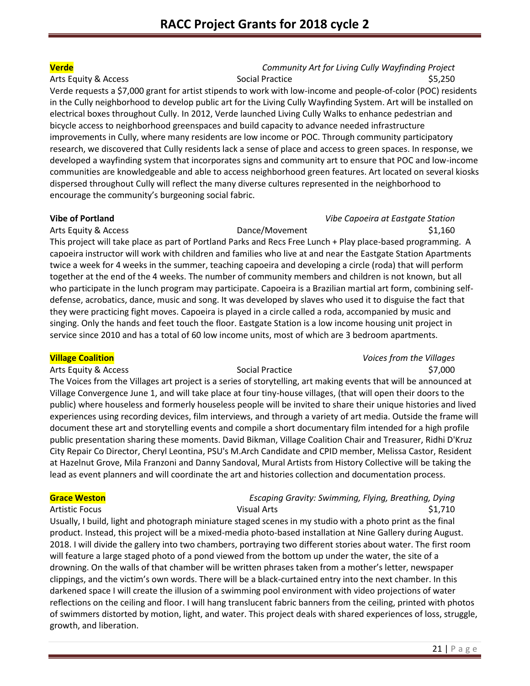## **Verde** *Community Art for Living Cully Wayfinding Project* Arts Equity & Access **Social Practice 35,250** Social Practice **\$5,250**

Verde requests a \$7,000 grant for artist stipends to work with low-income and people-of-color (POC) residents in the Cully neighborhood to develop public art for the Living Cully Wayfinding System. Art will be installed on electrical boxes throughout Cully. In 2012, Verde launched Living Cully Walks to enhance pedestrian and bicycle access to neighborhood greenspaces and build capacity to advance needed infrastructure improvements in Cully, where many residents are low income or POC. Through community participatory research, we discovered that Cully residents lack a sense of place and access to green spaces. In response, we developed a wayfinding system that incorporates signs and community art to ensure that POC and low-income communities are knowledgeable and able to access neighborhood green features. Art located on several kiosks dispersed throughout Cully will reflect the many diverse cultures represented in the neighborhood to encourage the community's burgeoning social fabric.

### **Vibe of Portland** *Vibe Capoeira at Eastgate Station*

Arts Equity & Access **Dance/Movement** \$1,160 This project will take place as part of Portland Parks and Recs Free Lunch + Play place-based programming. A capoeira instructor will work with children and families who live at and near the Eastgate Station Apartments twice a week for 4 weeks in the summer, teaching capoeira and developing a circle (roda) that will perform together at the end of the 4 weeks. The number of community members and children is not known, but all who participate in the lunch program may participate. Capoeira is a Brazilian martial art form, combining selfdefense, acrobatics, dance, music and song. It was developed by slaves who used it to disguise the fact that they were practicing fight moves. Capoeira is played in a circle called a roda, accompanied by music and singing. Only the hands and feet touch the floor. Eastgate Station is a low income housing unit project in service since 2010 and has a total of 60 low income units, most of which are 3 bedroom apartments.

### **Village Coalition** *Voices from the Villages*

Arts Equity & Access **Social Practice 37,000** Social Practice **\$7,000** 

The Voices from the Villages art project is a series of storytelling, art making events that will be announced at Village Convergence June 1, and will take place at four tiny-house villages, (that will open their doors to the public) where houseless and formerly houseless people will be invited to share their unique histories and lived experiences using recording devices, film interviews, and through a variety of art media. Outside the frame will document these art and storytelling events and compile a short documentary film intended for a high profile public presentation sharing these moments. David Bikman, Village Coalition Chair and Treasurer, Ridhi D'Kruz City Repair Co Director, Cheryl Leontina, PSU's M.Arch Candidate and CPID member, Melissa Castor, Resident at Hazelnut Grove, Mila Franzoni and Danny Sandoval, Mural Artists from History Collective will be taking the lead as event planners and will coordinate the art and histories collection and documentation process.

# **Grace Weston** *Escaping Gravity: Swimming, Flying, Breathing, Dying* Artistic Focus **S1,710** Visual Arts **Visual Arts S1,710**

Usually, I build, light and photograph miniature staged scenes in my studio with a photo print as the final product. Instead, this project will be a mixed-media photo-based installation at Nine Gallery during August. 2018. I will divide the gallery into two chambers, portraying two different stories about water. The first room will feature a large staged photo of a pond viewed from the bottom up under the water, the site of a drowning. On the walls of that chamber will be written phrases taken from a mother's letter, newspaper clippings, and the victim's own words. There will be a black-curtained entry into the next chamber. In this darkened space I will create the illusion of a swimming pool environment with video projections of water reflections on the ceiling and floor. I will hang translucent fabric banners from the ceiling, printed with photos of swimmers distorted by motion, light, and water. This project deals with shared experiences of loss, struggle, growth, and liberation.